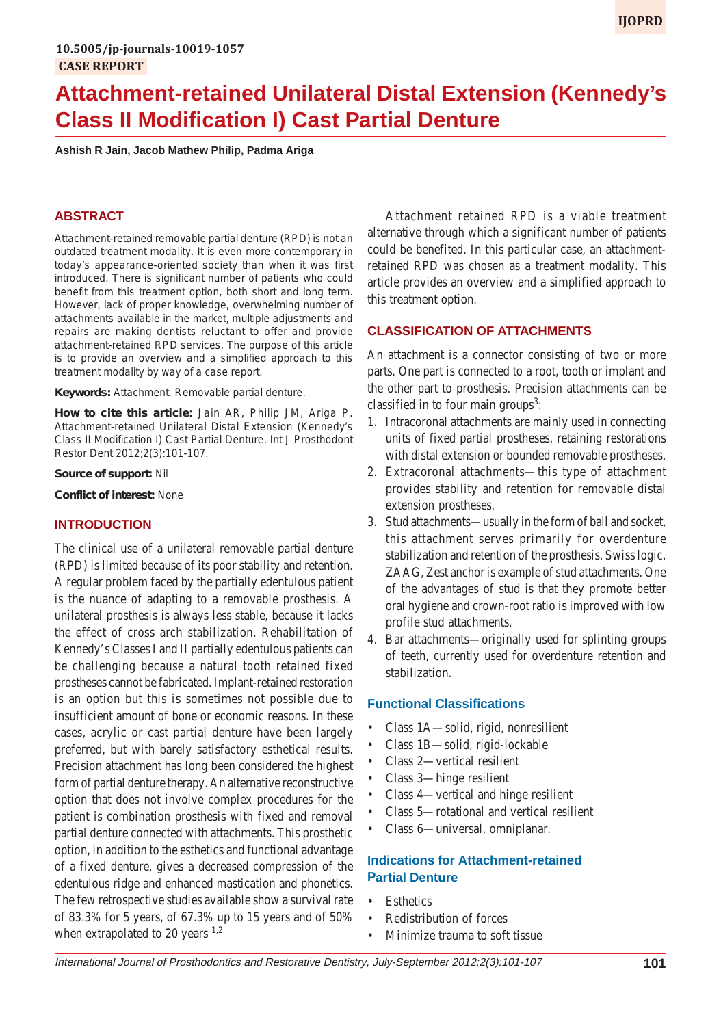# **Attachment-retained Unilateral Distal Extension (Kennedy's Class II Modification I) Cast Partial Denture**

**Ashish R Jain, Jacob Mathew Philip, Padma Ariga**

## **ABSTRACT**

Attachment-retained removable partial denture (RPD) is not an outdated treatment modality. It is even more contemporary in today's appearance-oriented society than when it was first introduced. There is significant number of patients who could benefit from this treatment option, both short and long term. However, lack of proper knowledge, overwhelming number of attachments available in the market, multiple adjustments and repairs are making dentists reluctant to offer and provide attachment-retained RPD services. The purpose of this article is to provide an overview and a simplified approach to this treatment modality by way of a case report.

**Keywords:** Attachment, Removable partial denture.

**How to cite this article:** Jain AR, Philip JM, Ariga P. Attachment-retained Unilateral Distal Extension (Kennedy's Class II Modification I) Cast Partial Denture. Int J Prosthodont Restor Dent 2012;2(3):101-107.

#### **Source of support:** Nil

**Conflict of interest:** None

## **INTRODUCTION**

The clinical use of a unilateral removable partial denture (RPD) is limited because of its poor stability and retention. A regular problem faced by the partially edentulous patient is the nuance of adapting to a removable prosthesis. A unilateral prosthesis is always less stable, because it lacks the effect of cross arch stabilization. Rehabilitation of Kennedy's Classes I and II partially edentulous patients can be challenging because a natural tooth retained fixed prostheses cannot be fabricated. Implant-retained restoration is an option but this is sometimes not possible due to insufficient amount of bone or economic reasons. In these cases, acrylic or cast partial denture have been largely preferred, but with barely satisfactory esthetical results. Precision attachment has long been considered the highest form of partial denture therapy. An alternative reconstructive option that does not involve complex procedures for the patient is combination prosthesis with fixed and removal partial denture connected with attachments. This prosthetic option, in addition to the esthetics and functional advantage of a fixed denture, gives a decreased compression of the edentulous ridge and enhanced mastication and phonetics. The few retrospective studies available show a survival rate of 83.3% for 5 years, of 67.3% up to 15 years and of 50% when extrapolated to 20 years  $1,2$ 

Attachment retained RPD is a viable treatment alternative through which a significant number of patients could be benefited. In this particular case, an attachmentretained RPD was chosen as a treatment modality. This article provides an overview and a simplified approach to this treatment option.

#### **CLASSIFICATION OF ATTACHMENTS**

An attachment is a connector consisting of two or more parts. One part is connected to a root, tooth or implant and the other part to prosthesis. Precision attachments can be classified in to four main groups<sup>3</sup>:

- 1. Intracoronal attachments are mainly used in connecting units of fixed partial prostheses, retaining restorations with distal extension or bounded removable prostheses.
- 2. Extracoronal attachments—this type of attachment provides stability and retention for removable distal extension prostheses.
- 3. Stud attachments—usually in the form of ball and socket, this attachment serves primarily for overdenture stabilization and retention of the prosthesis. Swiss logic, ZAAG, Zest anchor is example of stud attachments. One of the advantages of stud is that they promote better oral hygiene and crown-root ratio is improved with low profile stud attachments.
- 4. Bar attachments—originally used for splinting groups of teeth, currently used for overdenture retention and stabilization.

#### **Functional Classifications**

- Class 1A—solid, rigid, nonresilient
- Class 1B—solid, rigid-lockable
- Class 2—vertical resilient
- Class 3—hinge resilient
- Class 4—vertical and hinge resilient
- Class 5—rotational and vertical resilient
- Class 6—universal, omniplanar.

## **Indications for Attachment-retained Partial Denture**

- Esthetics
- Redistribution of forces
- Minimize trauma to soft tissue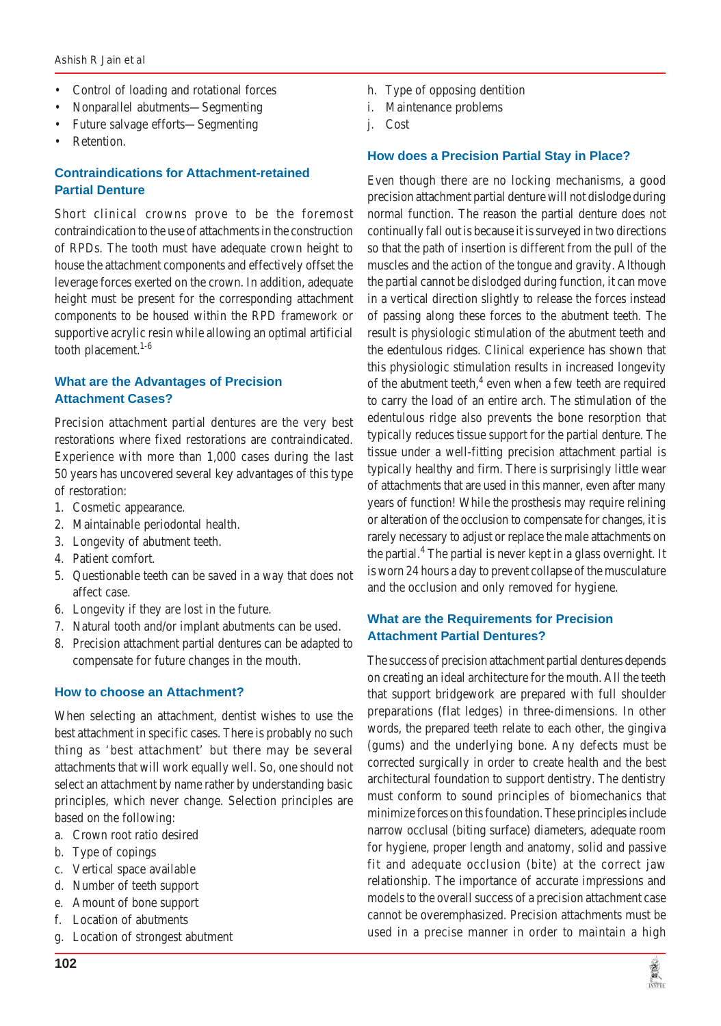- Control of loading and rotational forces
- Nonparallel abutments—Segmenting
- Future salvage efforts—Segmenting
- Retention.

# **Contraindications for Attachment-retained Partial Denture**

Short clinical crowns prove to be the foremost contraindication to the use of attachments in the construction of RPDs. The tooth must have adequate crown height to house the attachment components and effectively offset the leverage forces exerted on the crown. In addition, adequate height must be present for the corresponding attachment components to be housed within the RPD framework or supportive acrylic resin while allowing an optimal artificial tooth placement.<sup>1-6</sup>

# **What are the Advantages of Precision Attachment Cases?**

Precision attachment partial dentures are the very best restorations where fixed restorations are contraindicated. Experience with more than 1,000 cases during the last 50 years has uncovered several key advantages of this type of restoration:

- 1. Cosmetic appearance.
- 2. Maintainable periodontal health.
- 3. Longevity of abutment teeth.
- 4. Patient comfort.
- 5. Questionable teeth can be saved in a way that does not affect case.
- 6. Longevity if they are lost in the future.
- 7. Natural tooth and/or implant abutments can be used.
- 8. Precision attachment partial dentures can be adapted to compensate for future changes in the mouth.

# **How to choose an Attachment?**

When selecting an attachment, dentist wishes to use the best attachment in specific cases. There is probably no such thing as 'best attachment' but there may be several attachments that will work equally well. So, one should not select an attachment by name rather by understanding basic principles, which never change. Selection principles are based on the following:

- a. Crown root ratio desired
- b. Type of copings

**102**

- c. Vertical space available
- d. Number of teeth support
- e. Amount of bone support
- f. Location of abutments
- g. Location of strongest abutment
- h. Type of opposing dentition
- i. Maintenance problems
- j. Cost

## **How does a Precision Partial Stay in Place?**

Even though there are no locking mechanisms, a good precision attachment partial denture will not dislodge during normal function. The reason the partial denture does not continually fall out is because it is surveyed in two directions so that the path of insertion is different from the pull of the muscles and the action of the tongue and gravity. Although the partial cannot be dislodged during function, it can move in a vertical direction slightly to release the forces instead of passing along these forces to the abutment teeth. The result is physiologic stimulation of the abutment teeth and the edentulous ridges. Clinical experience has shown that this physiologic stimulation results in increased longevity of the abutment teeth, $4$  even when a few teeth are required to carry the load of an entire arch. The stimulation of the edentulous ridge also prevents the bone resorption that typically reduces tissue support for the partial denture. The tissue under a well-fitting precision attachment partial is typically healthy and firm. There is surprisingly little wear of attachments that are used in this manner, even after many years of function! While the prosthesis may require relining or alteration of the occlusion to compensate for changes, it is rarely necessary to adjust or replace the male attachments on the partial.<sup>4</sup> The partial is never kept in a glass overnight. It is worn 24 hours a day to prevent collapse of the musculature and the occlusion and only removed for hygiene.

# **What are the Requirements for Precision Attachment Partial Dentures?**

The success of precision attachment partial dentures depends on creating an ideal architecture for the mouth. All the teeth that support bridgework are prepared with full shoulder preparations (flat ledges) in three-dimensions. In other words, the prepared teeth relate to each other, the gingiva (gums) and the underlying bone. Any defects must be corrected surgically in order to create health and the best architectural foundation to support dentistry. The dentistry must conform to sound principles of biomechanics that minimize forces on this foundation. These principles include narrow occlusal (biting surface) diameters, adequate room for hygiene, proper length and anatomy, solid and passive fit and adequate occlusion (bite) at the correct jaw relationship. The importance of accurate impressions and models to the overall success of a precision attachment case cannot be overemphasized. Precision attachments must be used in a precise manner in order to maintain a high

海岸

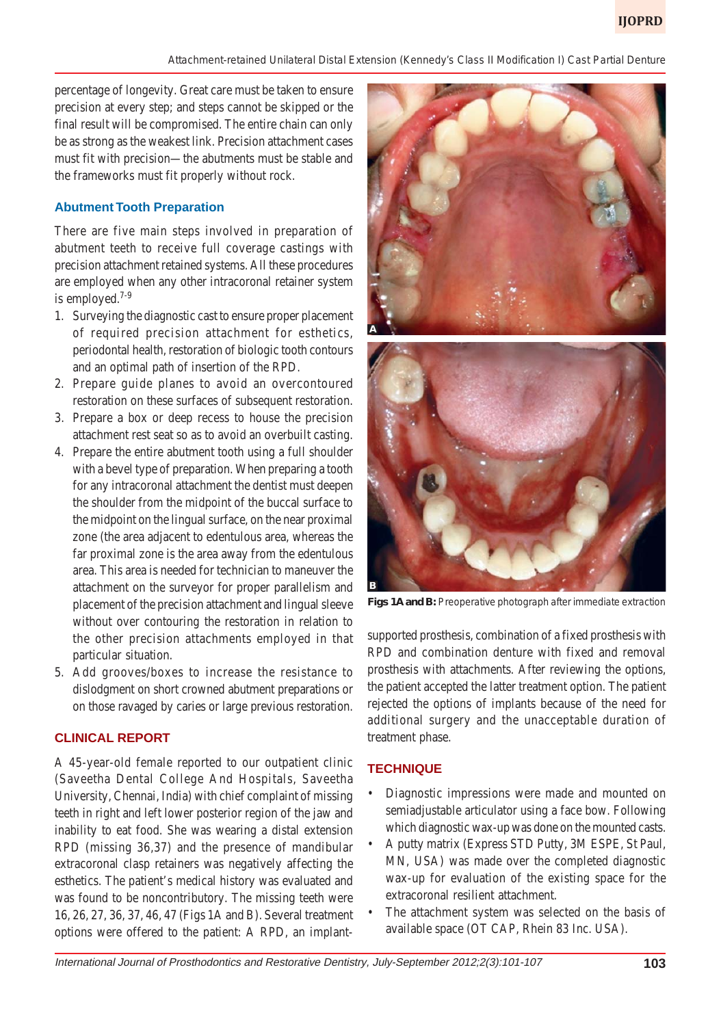*Attachment-retained Unilateral Distal Extension (Kennedy's Class II Modification I) Cast Partial Denture*

percentage of longevity. Great care must be taken to ensure precision at every step; and steps cannot be skipped or the final result will be compromised. The entire chain can only be as strong as the weakest link. Precision attachment cases must fit with precision—the abutments must be stable and the frameworks must fit properly without rock.

# **Abutment Tooth Preparation**

There are five main steps involved in preparation of abutment teeth to receive full coverage castings with precision attachment retained systems. All these procedures are employed when any other intracoronal retainer system is employed. $7-9$ 

- 1. Surveying the diagnostic cast to ensure proper placement of required precision attachment for esthetics, periodontal health, restoration of biologic tooth contours and an optimal path of insertion of the RPD.
- 2. Prepare guide planes to avoid an overcontoured restoration on these surfaces of subsequent restoration.
- 3. Prepare a box or deep recess to house the precision attachment rest seat so as to avoid an overbuilt casting.
- 4. Prepare the entire abutment tooth using a full shoulder with a bevel type of preparation. When preparing a tooth for any intracoronal attachment the dentist must deepen the shoulder from the midpoint of the buccal surface to the midpoint on the lingual surface, on the near proximal zone (the area adjacent to edentulous area, whereas the far proximal zone is the area away from the edentulous area. This area is needed for technician to maneuver the attachment on the surveyor for proper parallelism and placement of the precision attachment and lingual sleeve without over contouring the restoration in relation to the other precision attachments employed in that particular situation.
- 5. Add grooves/boxes to increase the resistance to dislodgment on short crowned abutment preparations or on those ravaged by caries or large previous restoration.

# **CLINICAL REPORT**

A 45-year-old female reported to our outpatient clinic (Saveetha Dental College And Hospitals, Saveetha University, Chennai, India) with chief complaint of missing teeth in right and left lower posterior region of the jaw and inability to eat food. She was wearing a distal extension RPD (missing 36,37) and the presence of mandibular extracoronal clasp retainers was negatively affecting the esthetics. The patient's medical history was evaluated and was found to be noncontributory. The missing teeth were 16, 26, 27, 36, 37, 46, 47 (Figs 1A and B). Several treatment options were offered to the patient: A RPD, an implant-



**Figs 1A and B:** Preoperative photograph after immediate extraction

supported prosthesis, combination of a fixed prosthesis with RPD and combination denture with fixed and removal prosthesis with attachments. After reviewing the options, the patient accepted the latter treatment option. The patient rejected the options of implants because of the need for additional surgery and the unacceptable duration of treatment phase.

# **TECHNIQUE**

- Diagnostic impressions were made and mounted on semiadjustable articulator using a face bow. Following which diagnostic wax-up was done on the mounted casts.
- A putty matrix (Express STD Putty, 3M ESPE, St Paul, MN, USA) was made over the completed diagnostic wax-up for evaluation of the existing space for the extracoronal resilient attachment.
- The attachment system was selected on the basis of available space (OT CAP, Rhein 83 Inc. USA).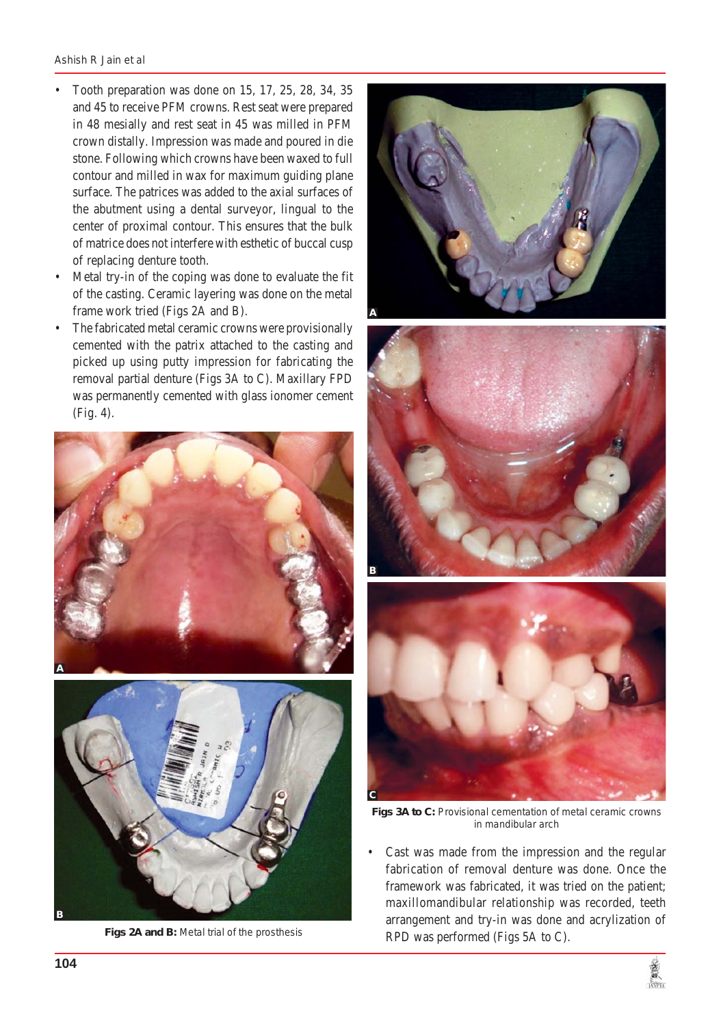- Tooth preparation was done on 15, 17, 25, 28, 34, 35 and 45 to receive PFM crowns. Rest seat were prepared in 48 mesially and rest seat in 45 was milled in PFM crown distally. Impression was made and poured in die stone. Following which crowns have been waxed to full contour and milled in wax for maximum guiding plane surface. The patrices was added to the axial surfaces of the abutment using a dental surveyor, lingual to the center of proximal contour. This ensures that the bulk of matrice does not interfere with esthetic of buccal cusp of replacing denture tooth.
- Metal try-in of the coping was done to evaluate the fit of the casting. Ceramic layering was done on the metal frame work tried (Figs 2A and B).
- The fabricated metal ceramic crowns were provisionally cemented with the patrix attached to the casting and picked up using putty impression for fabricating the removal partial denture (Figs 3A to C). Maxillary FPD was permanently cemented with glass ionomer cement (Fig. 4).





**Figs 2A and B:** Metal trial of the prosthesis







**Figs 3A to C:** Provisional cementation of metal ceramic crowns in mandibular arch

Cast was made from the impression and the regular fabrication of removal denture was done. Once the framework was fabricated, it was tried on the patient; maxillomandibular relationship was recorded, teeth arrangement and try-in was done and acrylization of RPD was performed (Figs 5A to C).

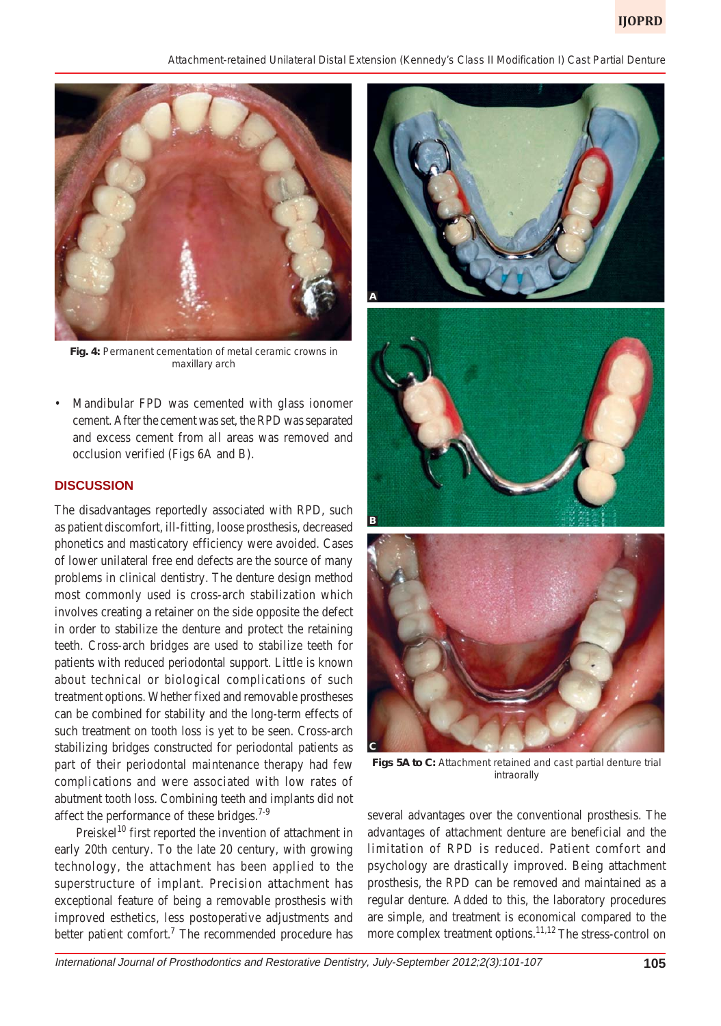*Attachment-retained Unilateral Distal Extension (Kennedy's Class II Modification I) Cast Partial Denture*



**Fig. 4:** Permanent cementation of metal ceramic crowns in maxillary arch

• Mandibular FPD was cemented with glass ionomer cement. After the cement was set, the RPD was separated and excess cement from all areas was removed and occlusion verified (Figs 6A and B).

#### **DISCUSSION**

The disadvantages reportedly associated with RPD, such as patient discomfort, ill-fitting, loose prosthesis, decreased phonetics and masticatory efficiency were avoided. Cases of lower unilateral free end defects are the source of many problems in clinical dentistry. The denture design method most commonly used is cross-arch stabilization which involves creating a retainer on the side opposite the defect in order to stabilize the denture and protect the retaining teeth. Cross-arch bridges are used to stabilize teeth for patients with reduced periodontal support. Little is known about technical or biological complications of such treatment options. Whether fixed and removable prostheses can be combined for stability and the long-term effects of such treatment on tooth loss is yet to be seen. Cross-arch stabilizing bridges constructed for periodontal patients as part of their periodontal maintenance therapy had few complications and were associated with low rates of abutment tooth loss. Combining teeth and implants did not affect the performance of these bridges.<sup>7-9</sup>

Preiskel<sup>10</sup> first reported the invention of attachment in early 20th century. To the late 20 century, with growing technology, the attachment has been applied to the superstructure of implant. Precision attachment has exceptional feature of being a removable prosthesis with improved esthetics, less postoperative adjustments and better patient comfort.<sup>7</sup> The recommended procedure has



**Figs 5A to C:** Attachment retained and cast partial denture trial intraorally

several advantages over the conventional prosthesis. The advantages of attachment denture are beneficial and the limitation of RPD is reduced. Patient comfort and psychology are drastically improved. Being attachment prosthesis, the RPD can be removed and maintained as a regular denture. Added to this, the laboratory procedures are simple, and treatment is economical compared to the more complex treatment options.<sup>11,12</sup> The stress-control on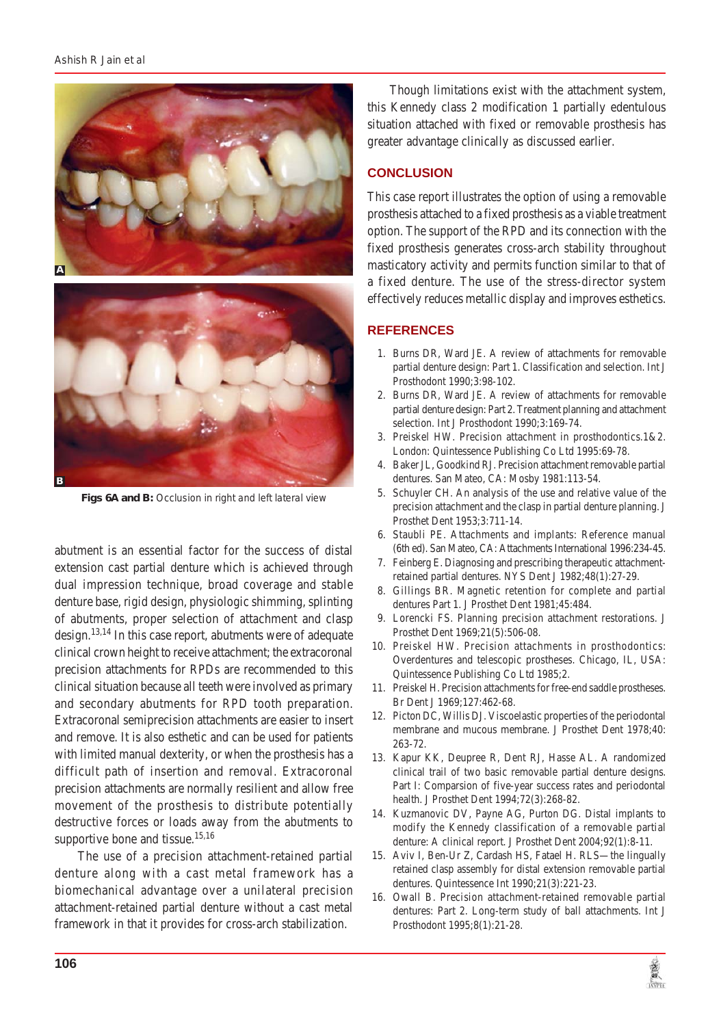

**Figs 6A and B:** Occlusion in right and left lateral view

abutment is an essential factor for the success of distal extension cast partial denture which is achieved through dual impression technique, broad coverage and stable denture base, rigid design, physiologic shimming, splinting of abutments, proper selection of attachment and clasp design.13,14 In this case report, abutments were of adequate clinical crown height to receive attachment; the extracoronal precision attachments for RPDs are recommended to this clinical situation because all teeth were involved as primary and secondary abutments for RPD tooth preparation. Extracoronal semiprecision attachments are easier to insert and remove. It is also esthetic and can be used for patients with limited manual dexterity, or when the prosthesis has a difficult path of insertion and removal. Extracoronal precision attachments are normally resilient and allow free movement of the prosthesis to distribute potentially destructive forces or loads away from the abutments to supportive bone and tissue. $15,16$ 

 The use of a precision attachment-retained partial denture along with a cast metal framework has a biomechanical advantage over a unilateral precision attachment-retained partial denture without a cast metal framework in that it provides for cross-arch stabilization.

 Though limitations exist with the attachment system, this Kennedy class 2 modification 1 partially edentulous situation attached with fixed or removable prosthesis has greater advantage clinically as discussed earlier.

# **CONCLUSION**

This case report illustrates the option of using a removable prosthesis attached to a fixed prosthesis as a viable treatment option. The support of the RPD and its connection with the fixed prosthesis generates cross-arch stability throughout masticatory activity and permits function similar to that of a fixed denture. The use of the stress-director system effectively reduces metallic display and improves esthetics.

# **REFERENCES**

- 1. Burns DR, Ward JE. A review of attachments for removable partial denture design: Part 1. Classification and selection. Int J Prosthodont 1990;3:98-102.
- 2. Burns DR, Ward JE. A review of attachments for removable partial denture design: Part 2. Treatment planning and attachment selection. Int J Prosthodont 1990;3:169-74.
- 3. Preiskel HW. Precision attachment in prosthodontics.1&2. London: Quintessence Publishing Co Ltd 1995:69-78.
- 4. Baker JL, Goodkind RJ. Precision attachment removable partial dentures. San Mateo, CA: Mosby 1981:113-54.
- 5. Schuyler CH. An analysis of the use and relative value of the precision attachment and the clasp in partial denture planning. J Prosthet Dent 1953;3:711-14.
- 6. Staubli PE. Attachments and implants: Reference manual (6th ed). San Mateo, CA: Attachments International 1996:234-45.
- 7. Feinberg E. Diagnosing and prescribing therapeutic attachmentretained partial dentures. NYS Dent J 1982;48(1):27-29.
- 8. Gillings BR. Magnetic retention for complete and partial dentures Part 1. J Prosthet Dent 1981;45:484.
- 9. Lorencki FS. Planning precision attachment restorations. J Prosthet Dent 1969;21(5):506-08.
- 10. Preiskel HW. Precision attachments in prosthodontics: Overdentures and telescopic prostheses. Chicago, IL, USA: Quintessence Publishing Co Ltd 1985;2.
- 11. Preiskel H. Precision attachments for free-end saddle prostheses. Br Dent J 1969;127:462-68.
- 12. Picton DC, Willis DJ. Viscoelastic properties of the periodontal membrane and mucous membrane. J Prosthet Dent 1978;40: 263-72.
- 13. Kapur KK, Deupree R, Dent RJ, Hasse AL. A randomized clinical trail of two basic removable partial denture designs. Part I: Comparsion of five-year success rates and periodontal health. J Prosthet Dent 1994;72(3):268-82.
- 14. Kuzmanovic DV, Payne AG, Purton DG. Distal implants to modify the Kennedy classification of a removable partial denture: A clinical report. J Prosthet Dent 2004;92(1):8-11.
- 15. Aviv I, Ben-Ur Z, Cardash HS, Fatael H. RLS—the lingually retained clasp assembly for distal extension removable partial dentures. Quintessence Int 1990;21(3):221-23.
- 16. Owall B. Precision attachment-retained removable partial dentures: Part 2. Long-term study of ball attachments. Int J Prosthodont 1995;8(1):21-28.